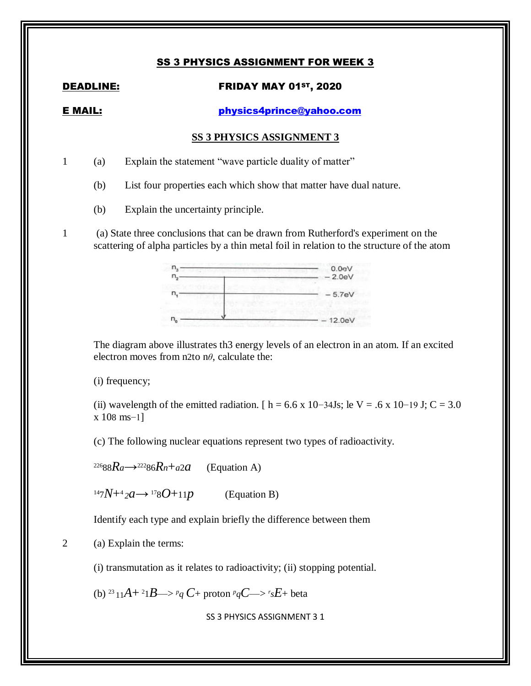# SS 3 PHYSICS ASSIGNMENT FOR WEEK 3

## DEADLINE: FRIDAY MAY 01<sup>st</sup>, 2020

E MAIL: [physics4prince@yahoo.com](mailto:physics4prince@yahoo.com)

### **SS 3 PHYSICS ASSIGNMENT 3**

1 (a) Explain the statement "wave particle duality of matter"

- (b) List four properties each which show that matter have dual nature.
- (b) Explain the uncertainty principle.
- 1 (a) State three conclusions that can be drawn from Rutherford's experiment on the scattering of alpha particles by a thin metal foil in relation to the structure of the atom



The diagram above illustrates th3 energy levels of an electron in an atom. If an excited electron moves from n2to n*θ*, calculate the:

(i) frequency;

(ii) wavelength of the emitted radiation. [ h = 6.6 x 10−34Js; le V = .6 x 10−19 J; C = 3.0 x 108 ms−1]

(c) The following nuclear equations represent two types of radioactivity.

<sup>226</sup>88 $Ra$ →<sup>222</sup>86 $R$ *n*+*a*2*a* (Equation A)

 $147N+42a \rightarrow 178O+11p$  (Equation B)

Identify each type and explain briefly the difference between them

2 (a) Explain the terms:

(i) transmutation as it relates to radioactivity; (ii) stopping potential.

(b) <sup>23</sup> 11A+ <sup>2</sup>1B—> <sup>*p*</sup>q C+ proton *<sup>p</sup>*qC—> *<sup>r</sup>sE*+ beta

SS 3 PHYSICS ASSIGNMENT 3 1